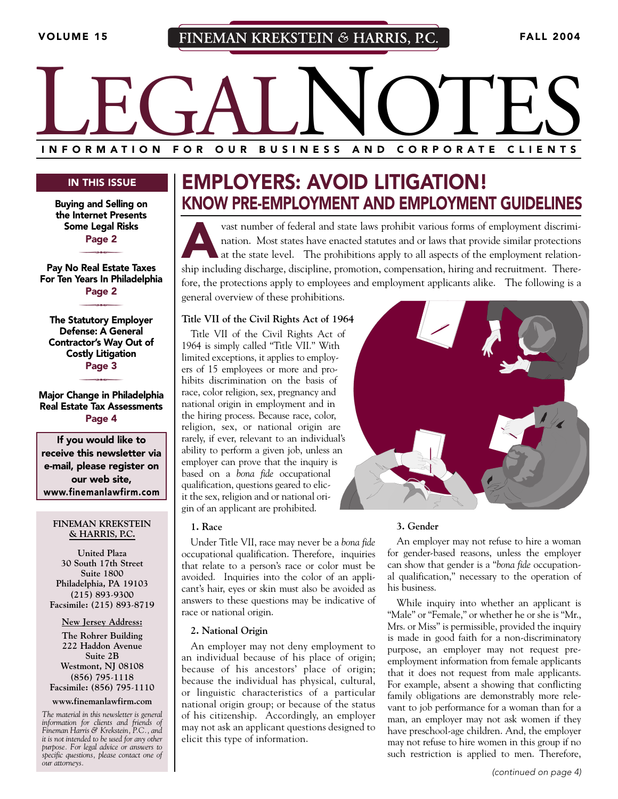# INFORMATION FOR OUR BUSINESS AND CORPORATE CLIENTS **I NFORMATION FOR OUR BUSINESS AND CORPORATE CLIENTS**

#### **IN THIS ISSUE**

**Buying and Selling on the Internet Presents Some Legal Risks** P**Page 2**

**Pay No Real Estate Taxes For Ten Years In Philadelphia**

P**Page 2**

**The Statutory Employer Defense: A General Contractor's Way Out of Costly Litigation** P**Page 3**

**Major Change in Philadelphia Real Estate Tax Assessments Page 4**

**If you would like to receive this newsletter via e-mail, please register on our web site, www.finemanlawfirm.com**

#### **FINEMAN KREKSTEIN & HARRIS, P.C.**

**United Plaza 30 South 17th Street Suite 1800 Philadelphia, PA 19103 (215) 893**-**9300 Facsimile: (215) 893**-**8719**

**New Jersey Address:**

**The Rohrer Building 222 Haddon Avenue Suite 2B Westmont, NJ 08108 (856) 795**-**1118 Facsimile: (856) 795**-**1110**

**www.finemanlawfirm.com**

*The material in this newsletter is general information for clients and friends of Fineman Harris & Krekstein, P.C., and it is not intended to be used for any other purpose. For legal advice or answers to specific questions, please contact one of our attorneys.*

## **EMPLOYERS: AVOID LITIGATION! KNOW PRE-EMPLOYMENT AND EMPLOYMENT GUIDELINES**

vast number of federal and state laws prohibit various forms of employment discrimination. Most states have enacted statutes and or laws that provide similar protections at the state level. The prohibitions apply to all as nation. Most states have enacted statutes and or laws that provide similar protections at the state level. The prohibitions apply to all aspects of the employment relationship including discharge, discipline, promotion, compensation, hiring and recruitment. Therefore, the protections apply to employees and employment applicants alike. The following is a general overview of these prohibitions.

#### **Title VII of the Civil Rights Act of 1964**

Title VII of the Civil Rights Act of 1964 is simply called "Title VII." With limited exceptions, it applies to employers of 15 employees or more and prohibits discrimination on the basis of race, color religion, sex, pregnancy and national origin in employment and in the hiring process. Because race, color, religion, sex, or national origin are rarely, if ever, relevant to an individual's ability to perform a given job, unless an employer can prove that the inquiry is based on a *bona fide* occupational qualification, questions geared to elicit the sex, religion and or national origin of an applicant are prohibited.

#### **1. Race**

Under Title VII, race may never be a *bona fide* occupational qualification. Therefore, inquiries that relate to a person's race or color must be avoided. Inquiries into the color of an applicant's hair, eyes or skin must also be avoided as answers to these questions may be indicative of race or national origin.

#### **2. National Origin**

An employer may not deny employment to an individual because of his place of origin; because of his ancestors' place of origin; because the individual has physical, cultural, or linguistic characteristics of a particular national origin group; or because of the status of his citizenship. Accordingly, an employer may not ask an applicant questions designed to elicit this type of information.



#### **3. Gender**

An employer may not refuse to hire a woman for gender-based reasons, unless the employer can show that gender is a "*bona fide* occupational qualification," necessary to the operation of his business.

While inquiry into whether an applicant is "Male" or "Female," or whether he or she is "Mr., Mrs. or Miss" is permissible, provided the inquiry is made in good faith for a non-discriminatory purpose, an employer may not request preemployment information from female applicants that it does not request from male applicants. For example, absent a showing that conflicting family obligations are demonstrably more relevant to job performance for a woman than for a man, an employer may not ask women if they have preschool-age children. And, the employer may not refuse to hire women in this group if no such restriction is applied to men. Therefore,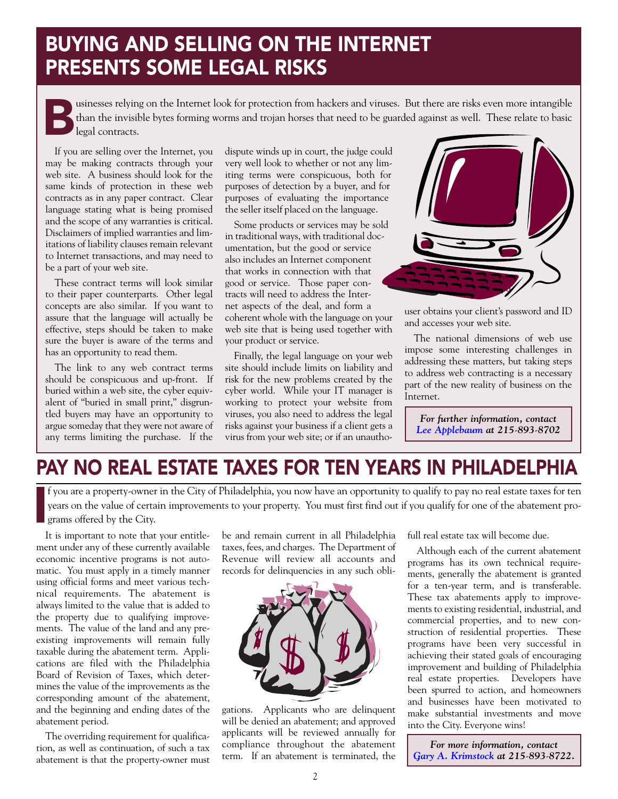## **BUYING AND SELLING ON THE INTERNET PRESENTS SOME LEGAL RISKS**

**Businesses relying on the Internet look for protection from hackers and viruses. But there are risks even more intangible than the invisible bytes forming worms and trojan horses that need to be guarded against as well. T** than the invisible bytes forming worms and trojan horses that need to be guarded against as well. These relate to basic legal contracts.

If you are selling over the Internet, you may be making contracts through your web site. A business should look for the same kinds of protection in these web contracts as in any paper contract. Clear language stating what is being promised and the scope of any warranties is critical. Disclaimers of implied warranties and limitations of liability clauses remain relevant to Internet transactions, and may need to be a part of your web site.

These contract terms will look similar to their paper counterparts. Other legal concepts are also similar. If you want to assure that the language will actually be effective, steps should be taken to make sure the buyer is aware of the terms and has an opportunity to read them.

The link to any web contract terms should be conspicuous and up-front. If buried within a web site, the cyber equivalent of "buried in small print," disgruntled buyers may have an opportunity to argue someday that they were not aware of any terms limiting the purchase. If the

dispute winds up in court, the judge could very well look to whether or not any limiting terms were conspicuous, both for purposes of detection by a buyer, and for purposes of evaluating the importance the seller itself placed on the language.

Some products or services may be sold in traditional ways, with traditional documentation, but the good or service also includes an Internet component that works in connection with that good or service. Those paper contracts will need to address the Internet aspects of the deal, and form a coherent whole with the language on your web site that is being used together with your product or service.

Finally, the legal language on your web site should include limits on liability and risk for the new problems created by the cyber world. While your IT manager is working to protect your website from viruses, you also need to address the legal risks against your business if a client gets a virus from your web site; or if an unautho-



user obtains your client's password and ID and accesses your web site.

The national dimensions of web use impose some interesting challenges in addressing these matters, but taking steps to address web contracting is a necessary part of the new reality of business on the Internet.

*For further information, contact [Lee Applebaum](http://www.finemanlawfirm.com/attorneys/bios/applebaum_l.cfm) at 215*-*893*-*8702*

## **PAY NO REAL ESTATE TAXES FOR TEN YEARS IN PHILADELPHIA**

**I** f you are a property-owner in the City of Philadelphia, you now have an opportunity to qualify to pay no real estate taxes for ten years on the value of certain improvements to your property. You must first find out if you qualify for one of the abatement programs offered by the City.

It is important to note that your entitlement under any of these currently available economic incentive programs is not automatic. You must apply in a timely manner using official forms and meet various technical requirements. The abatement is always limited to the value that is added to the property due to qualifying improvements. The value of the land and any preexisting improvements will remain fully taxable during the abatement term. Applications are filed with the Philadelphia Board of Revision of Taxes, which determines the value of the improvements as the corresponding amount of the abatement, and the beginning and ending dates of the abatement period.

The overriding requirement for qualification, as well as continuation, of such a tax abatement is that the property-owner must be and remain current in all Philadelphia taxes, fees, and charges. The Department of Revenue will review all accounts and records for delinquencies in any such obli-



gations. Applicants who are delinquent will be denied an abatement; and approved applicants will be reviewed annually for compliance throughout the abatement term. If an abatement is terminated, the full real estate tax will become due.

Although each of the current abatement programs has its own technical requirements, generally the abatement is granted for a ten-year term, and is transferable. These tax abatements apply to improvements to existing residential, industrial, and commercial properties, and to new construction of residential properties. These programs have been very successful in achieving their stated goals of encouraging improvement and building of Philadelphia real estate properties. Developers have been spurred to action, and homeowners and businesses have been motivated to make substantial investments and move into the City. Everyone wins!

*For more information, contact [Gary A. Krimstock](http://www.finemanlawfirm.com/attorneys/bios/krimstock_g.cfm) at 215*-*893*-*8722.*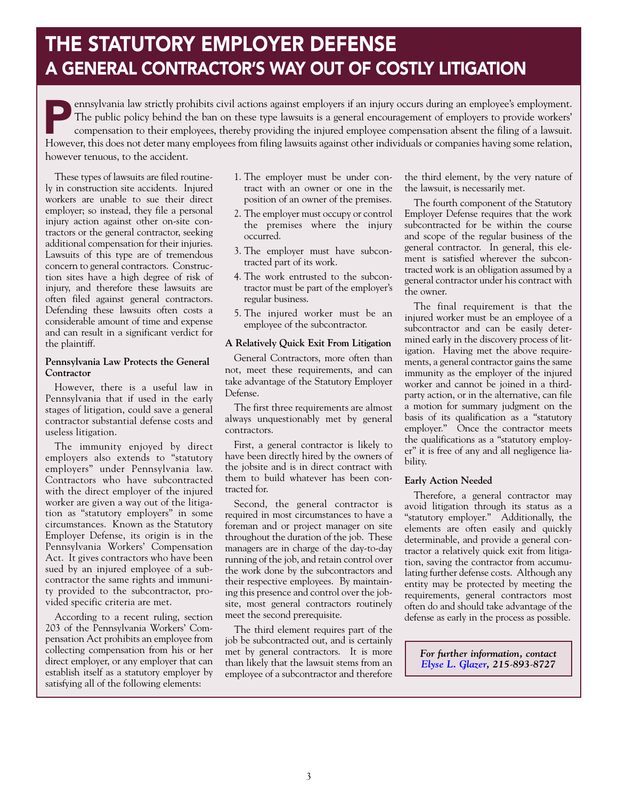## **THE STATUTORY EMPLOYER DEFENSE A GENERAL CONTRACTOR'S WAY OUT OF COSTLY LITIGATION**

**Pennsylvania law strictly prohibits civil actions against employers if an injury occurs during an employee's employment.<br>The public policy behind the ban on these type lawsuits is a general encouragement of employers to p** The public policy behind the ban on these type lawsuits is a general encouragement of employers to provide workers' compensation to their employees, thereby providing the injured employee compensation absent the filing of a lawsuit. However, this does not deter many employees from filing lawsuits against other individuals or companies having some relation, however tenuous, to the accident.

These types of lawsuits are filed routinely in construction site accidents. Injured workers are unable to sue their direct employer; so instead, they file a personal injury action against other on-site contractors or the general contractor, seeking additional compensation for their injuries. Lawsuits of this type are of tremendous concern to general contractors. Construction sites have a high degree of risk of injury, and therefore these lawsuits are often filed against general contractors. Defending these lawsuits often costs a considerable amount of time and expense and can result in a significant verdict for the plaintiff.

#### **Pennsylvania Law Protects the General Contractor**

However, there is a useful law in Pennsylvania that if used in the early stages of litigation, could save a general contractor substantial defense costs and useless litigation.

The immunity enjoyed by direct employers also extends to "statutory employers" under Pennsylvania law. Contractors who have subcontracted with the direct employer of the injured worker are given a way out of the litigation as "statutory employers" in some circumstances. Known as the Statutory Employer Defense, its origin is in the Pennsylvania Workers' Compensation Act. It gives contractors who have been sued by an injured employee of a subcontractor the same rights and immunity provided to the subcontractor, provided specific criteria are met.

According to a recent ruling, section 203 of the Pennsylvania Workers' Compensation Act prohibits an employee from collecting compensation from his or her direct employer, or any employer that can establish itself as a statutory employer by satisfying all of the following elements:

- 1. The employer must be under contract with an owner or one in the position of an owner of the premises.
- 2. The employer must occupy or control the premises where the injury occurred.
- 3. The employer must have subcontracted part of its work.
- 4. The work entrusted to the subcontractor must be part of the employer's regular business.
- 5. The injured worker must be an employee of the subcontractor.

#### **A Relatively Quick Exit From Litigation**

General Contractors, more often than not, meet these requirements, and can take advantage of the Statutory Employer Defense.

The first three requirements are almost always unquestionably met by general contractors.

First, a general contractor is likely to have been directly hired by the owners of the jobsite and is in direct contract with them to build whatever has been contracted for.

Second, the general contractor is required in most circumstances to have a foreman and or project manager on site throughout the duration of the job. These managers are in charge of the day-to-day running of the job, and retain control over the work done by the subcontractors and their respective employees. By maintaining this presence and control over the jobsite, most general contractors routinely meet the second prerequisite.

The third element requires part of the job be subcontracted out, and is certainly met by general contractors. It is more than likely that the lawsuit stems from an employee of a subcontractor and therefore

the third element, by the very nature of the lawsuit, is necessarily met.

The fourth component of the Statutory Employer Defense requires that the work subcontracted for be within the course and scope of the regular business of the general contractor. In general, this element is satisfied wherever the subcontracted work is an obligation assumed by a general contractor under his contract with the owner.

The final requirement is that the injured worker must be an employee of a subcontractor and can be easily determined early in the discovery process of litigation. Having met the above requirements, a general contractor gains the same immunity as the employer of the injured worker and cannot be joined in a thirdparty action, or in the alternative, can file a motion for summary judgment on the basis of its qualification as a "statutory employer." Once the contractor meets the qualifications as a "statutory employer" it is free of any and all negligence liability.

#### **Early Action Needed**

Therefore, a general contractor may avoid litigation through its status as a "statutory employer." Additionally, the elements are often easily and quickly determinable, and provide a general contractor a relatively quick exit from litigation, saving the contractor from accumulating further defense costs. Although any entity may be protected by meeting the requirements, general contractors most often do and should take advantage of the defense as early in the process as possible.

*For further information, contact [Elyse L. Glazer,](http://www.finemanlawfirm.com/attorneys/bios/glazer_e.cfm) 215*-*893*-*8727*